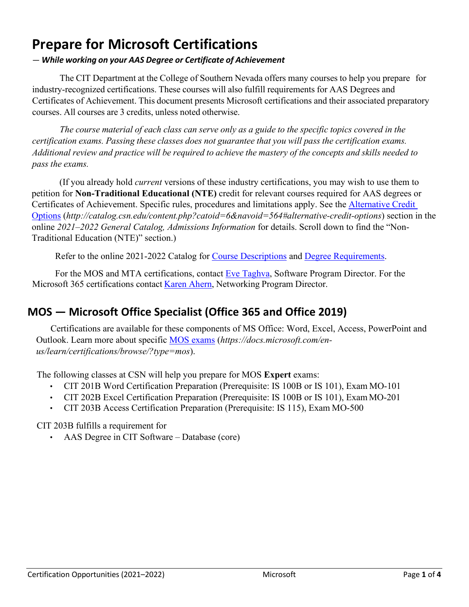# **Prepare for Microsoft Certifications**

#### *— While working on your AAS Degree or Certificate of Achievement*

The CIT Department at the College of Southern Nevada offers many courses to help you prepare for industry-recognized certifications. These courses will also fulfill requirements for AAS Degrees and Certificates of Achievement. This document presents Microsoft certifications and their associated preparatory courses. All courses are 3 credits, unless noted otherwise.

The course material of each class can serve only as a guide to the specific topics covered in the *certification exams. Passing these classes does not guarantee that you will pass the certification exams.*  Additional review and practice will be required to achieve the mastery of the concepts and skills needed to *pass the exams.*

(If you already hold *current* versions of these industry certifications, you may wish to use them to petition for **Non-Traditional Educational (NTE)** credit for relevant courses required for AAS degrees or Certificates of Achievement. Specific rules, procedures and limitations apply. See the [Alternative Credit](http://catalog.csn.edu/content.php?catoid=6&navoid=564#alternative-credit-options)  [Options](http://catalog.csn.edu/content.php?catoid=6&navoid=564#alternative-credit-options) (*http://catalog.csn.edu/content.php?catoid=6&navoid=564#alternative-credit-options*) section in the online *2021–2022 General Catalog, Admissions Information* for details. Scroll down to find the "Non-Traditional Education (NTE)" section.)

Refer to the online 2021-2022 Catalog for [Course Descriptions](http://catalog.csn.edu/content.php?catoid=6&navoid=571) and [Degree Requirements.](http://catalog.csn.edu/content.php?catoid=6&navoid=594)

For the MOS and MTA certifications, contact [Eve Taghva,](https://www.csn.edu/directory/eve-taghva) Software Program Director. For the Microsoft 365 certifications contact [Karen Ahern,](https://www.csn.edu/directory/karen-ahern) Networking Program Director.

## **MOS — Microsoft Office Specialist (Office 365 and Office 2019)**

Certifications are available for these components of MS Office: Word, Excel, Access, PowerPoint and Outlook. Learn more about specific [MOS exams](https://docs.microsoft.com/en-us/learn/certifications/browse/?type=mos) (*https://docs.microsoft.com/enus/learn/certifications/browse/?type=mos*).

The following classes at CSN will help you prepare for MOS **Expert** exams:

- CIT 201B Word Certification Preparation (Prerequisite: IS 100B or IS 101), Exam MO-101
- CIT 202B Excel Certification Preparation (Prerequisite: IS 100B or IS 101), Exam MO-201
- CIT 203B Access Certification Preparation (Prerequisite: IS 115), Exam MO-500

CIT 203B fulfills a requirement for

• AAS Degree in CIT Software – Database (core)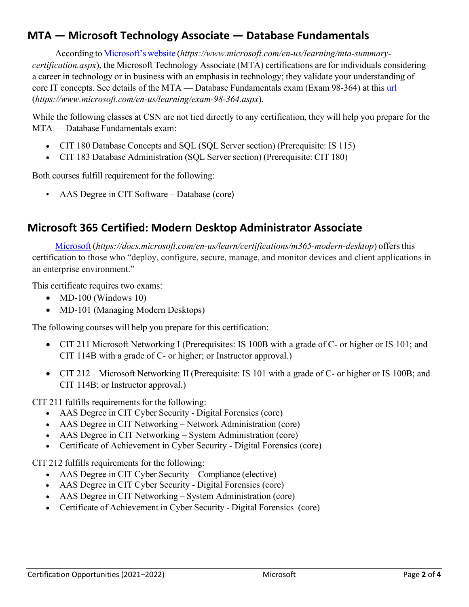### **MTA — Microsoft Technology Associate — Database Fundamentals**

According to [Microsoft's](https://www.microsoft.com/en-us/learning/mta-summary-certification.aspx) website (*https://www.microsoft.com/en-us/learning/mta-summarycertification.aspx*), the Microsoft Technology Associate (MTA) certifications are for individuals considering a career in technology or in business with an emphasis in technology; they validate your understanding of core IT concepts. See details of the MTA — Database Fundamentals exam (Exam 98-364) at this [url](https://www.microsoft.com/en-us/learning/exam-98-364.aspx) (*https://www.microsoft.com/en-us/learning/exam-98-364.aspx*).

While the following classes at CSN are not tied directly to any certification, they will help you prepare for the MTA — Database Fundamentals exam:

- CIT 180 Database Concepts and SQL (SQL Server section) (Prerequisite: IS 115)
- CIT 183 Database Administration (SQL Server section) (Prerequisite: CIT 180)

Both courses fulfill requirement for the following:

• AAS Degree in CIT Software – Database (core)

#### **Microsoft 365 Certified: Modern Desktop Administrator Associate**

[Microsoft](https://docs.microsoft.com/en-us/learn/certifications/m365-modern-desktop) (*https://docs.microsoft.com/en-us/learn/certifications/m365-modern-desktop*) offersthis certification to those who "deploy, configure, secure, manage, and monitor devices and client applications in an enterprise environment."

This certificate requires two exams:

- MD-100 (Windows 10)
- MD-101 (Managing Modern Desktops)

The following courses will help you prepare for this certification:

- CIT 211 Microsoft Networking I (Prerequisites: IS 100B with a grade of C- or higher or IS 101; and CIT 114B with a grade of C- or higher; or Instructor approval.)
- CIT 212 Microsoft Networking II (Prerequisite: IS 101 with a grade of C- or higher or IS 100B; and CIT 114B; or Instructor approval.)

CIT 211 fulfills requirements for the following:

- AAS Degree in CIT Cyber Security Digital Forensics (core)
- AAS Degree in CIT Networking Network Administration (core)
- AAS Degree in CIT Networking System Administration (core)
- Certificate of Achievement in Cyber Security Digital Forensics (core)

CIT 212 fulfills requirements for the following:

- AAS Degree in CIT Cyber Security Compliance (elective)
- AAS Degree in CIT Cyber Security Digital Forensics (core)
- AAS Degree in CIT Networking System Administration (core)
- Certificate of Achievement in Cyber Security Digital Forensics (core)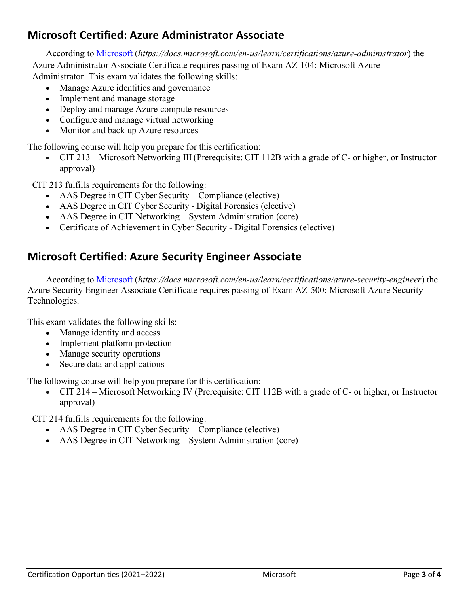### **Microsoft Certified: Azure Administrator Associate**

According to [Microsoft](https://docs.microsoft.com/en-us/learn/certifications/azure-administrator) (*https://docs.microsoft.com/en-us/learn/certifications/azure-administrator*) the Azure Administrator Associate Certificate requires passing of Exam AZ-104: Microsoft Azure Administrator. This exam validates the following skills:

- Manage Azure identities and governance
- Implement and manage storage
- Deploy and manage Azure compute resources
- Configure and manage virtual networking
- Monitor and back up Azure resources

The following course will help you prepare for this certification:

• CIT 213 – Microsoft Networking III (Prerequisite: CIT 112B with a grade of C- or higher, or Instructor approval)

CIT 213 fulfills requirements for the following:

- AAS Degree in CIT Cyber Security Compliance (elective)
- AAS Degree in CIT Cyber Security Digital Forensics (elective)
- AAS Degree in CIT Networking System Administration (core)
- Certificate of Achievement in Cyber Security Digital Forensics (elective)

#### **Microsoft Certified: Azure Security Engineer Associate**

According to [Microsoft](https://docs.microsoft.com/en-us/learn/certifications/azure-security-engineer) (*https://docs.microsoft.com/en-us/learn/certifications/azure-security-engineer*) the Azure Security Engineer Associate Certificate requires passing of Exam AZ-500: Microsoft Azure Security Technologies.

This exam validates the following skills:

- Manage identity and access
- Implement platform protection
- Manage security operations
- Secure data and applications

The following course will help you prepare for this certification:

• CIT 214 – Microsoft Networking IV (Prerequisite: CIT 112B with a grade of C- or higher, or Instructor approval)

CIT 214 fulfills requirements for the following:

- AAS Degree in CIT Cyber Security Compliance (elective)
- AAS Degree in CIT Networking System Administration (core)